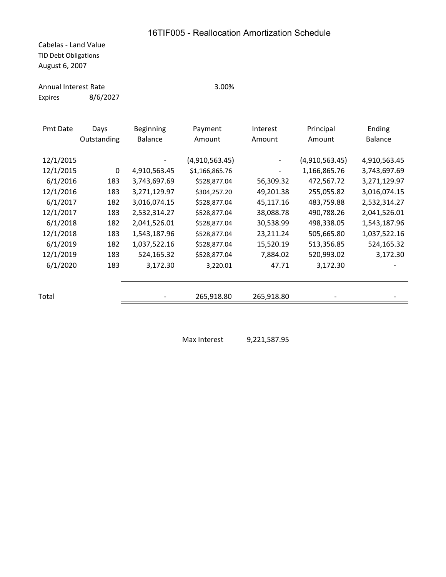Cabelas - Land Value TID Debt Obligations August 6, 2007

## Annual Interest Rate 3.00%

Expires 8/6/2027

| ۰.<br>v<br>v | т | I<br>×<br>۰, | э.<br>۰. |  |
|--------------|---|--------------|----------|--|
|              |   |              |          |  |
|              |   |              |          |  |

| Pmt Date  | Days        | <b>Beginning</b> | Payment        | Interest   | Principal      | Ending         |
|-----------|-------------|------------------|----------------|------------|----------------|----------------|
|           | Outstanding | <b>Balance</b>   | Amount         | Amount     | Amount         | <b>Balance</b> |
|           |             |                  |                |            |                |                |
| 12/1/2015 |             |                  | (4,910,563.45) |            | (4,910,563.45) | 4,910,563.45   |
| 12/1/2015 | $\Omega$    | 4,910,563.45     | \$1,166,865.76 |            | 1,166,865.76   | 3,743,697.69   |
| 6/1/2016  | 183         | 3,743,697.69     | \$528,877.04   | 56,309.32  | 472,567.72     | 3,271,129.97   |
| 12/1/2016 | 183         | 3,271,129.97     | \$304,257.20   | 49,201.38  | 255,055.82     | 3,016,074.15   |
| 6/1/2017  | 182         | 3,016,074.15     | \$528,877.04   | 45,117.16  | 483,759.88     | 2,532,314.27   |
| 12/1/2017 | 183         | 2,532,314.27     | \$528,877.04   | 38,088.78  | 490,788.26     | 2,041,526.01   |
| 6/1/2018  | 182         | 2,041,526.01     | \$528,877.04   | 30,538.99  | 498,338.05     | 1,543,187.96   |
| 12/1/2018 | 183         | 1,543,187.96     | \$528,877.04   | 23,211.24  | 505,665.80     | 1,037,522.16   |
| 6/1/2019  | 182         | 1,037,522.16     | \$528,877.04   | 15,520.19  | 513,356.85     | 524,165.32     |
| 12/1/2019 | 183         | 524,165.32       | \$528,877.04   | 7,884.02   | 520,993.02     | 3,172.30       |
| 6/1/2020  | 183         | 3,172.30         | 3,220.01       | 47.71      | 3,172.30       |                |
|           |             |                  |                |            |                |                |
|           |             |                  |                |            |                |                |
| Total     |             |                  | 265,918.80     | 265,918.80 |                |                |
|           |             |                  |                |            |                |                |

Max Interest 9,221,587.95